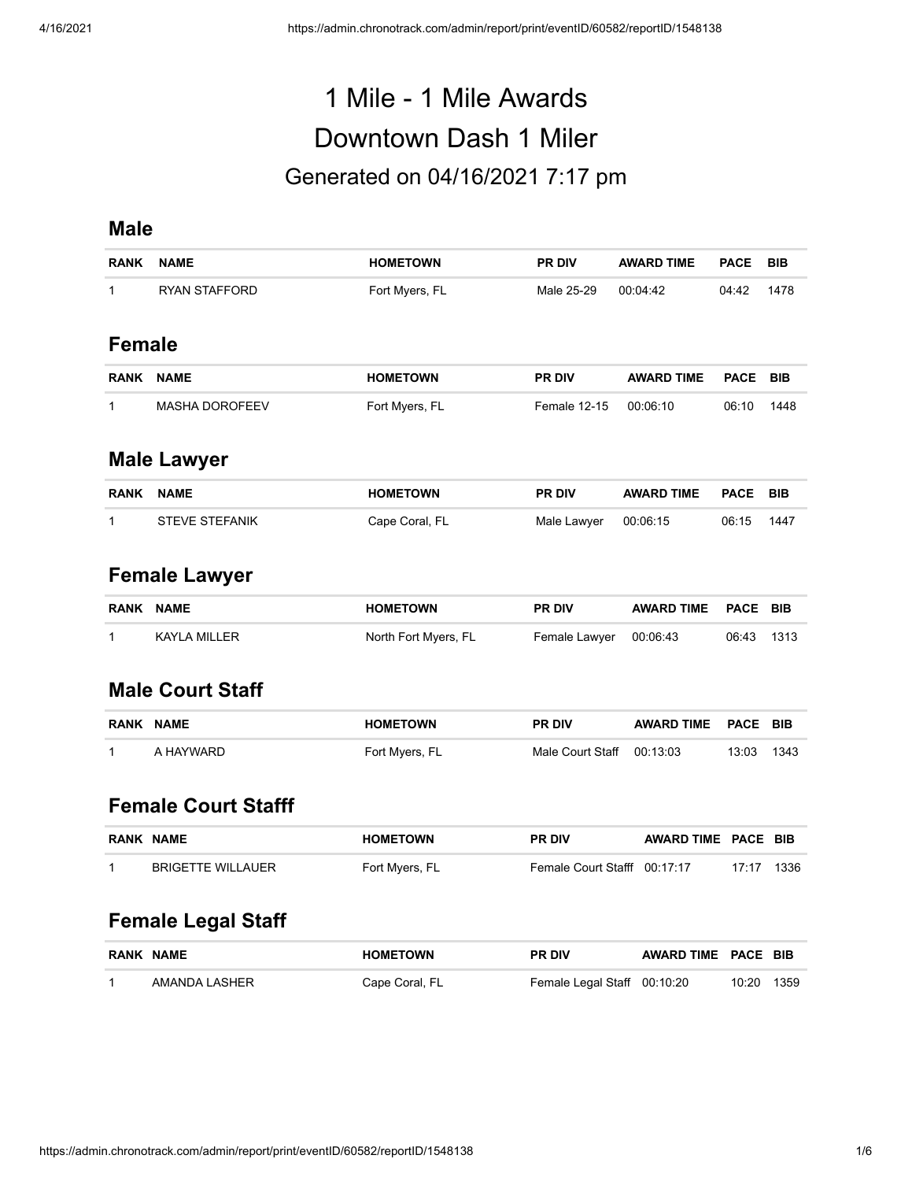# 1 Mile - 1 Mile Awards Downtown Dash 1 Miler Generated on 04/16/2021 7:17 pm

#### **Male**

| <b>RANK</b>        | <b>NAME</b>           | <b>HOMETOWN</b> | <b>PR DIV</b>       | <b>AWARD TIME</b> | <b>PACE</b> | <b>BIB</b> |  |  |
|--------------------|-----------------------|-----------------|---------------------|-------------------|-------------|------------|--|--|
| 1                  | <b>RYAN STAFFORD</b>  | Fort Myers, FL  | Male 25-29          | 00:04:42          | 04:42       | 1478       |  |  |
| <b>Female</b>      |                       |                 |                     |                   |             |            |  |  |
| <b>RANK</b>        | <b>NAME</b>           | <b>HOMETOWN</b> | <b>PR DIV</b>       | <b>AWARD TIME</b> | <b>PACE</b> | <b>BIB</b> |  |  |
| 1                  | <b>MASHA DOROFEEV</b> | Fort Myers, FL  | <b>Female 12-15</b> | 00:06:10          | 06:10       | 1448       |  |  |
| <b>Male Lawyer</b> |                       |                 |                     |                   |             |            |  |  |
| <b>RANK</b>        | <b>NAME</b>           | <b>HOMETOWN</b> | <b>PR DIV</b>       | <b>AWARD TIME</b> | <b>PACE</b> | <b>BIB</b> |  |  |

| RANK | NAME                  | <b>HOMETOWN</b> | <b>PR DIV</b>        | AWARD TIME PACE BIB |            |  |
|------|-----------------------|-----------------|----------------------|---------------------|------------|--|
|      | <b>STEVE STEFANIK</b> | Cape Coral, FL  | Male Lawyer 00:06:15 |                     | 06:15 1447 |  |

## **Female Lawyer**

| RANK NAME |              | <b>HOMETOWN</b>      | <b>PR DIV</b>          | AWARD TIME PACE BIB |            |  |
|-----------|--------------|----------------------|------------------------|---------------------|------------|--|
|           | KAYLA MILLER | North Fort Myers, FL | Female Lawyer 00:06:43 |                     | 06:43 1313 |  |

#### **Male Court Staff**

| <b>RANK</b> | <b>NAME</b> | <b>HOMETOWN</b> | <b>PR DIV</b>             | AWARD TIME PACE BIB |       |       |
|-------------|-------------|-----------------|---------------------------|---------------------|-------|-------|
|             | A HAYWARD   | Fort Myers, FL  | Male Court Staff 00:13:03 |                     | 13:03 | -1343 |

## **Female Court Stafff**

| <b>RANK NAME</b>  | <b>HOMETOWN</b> | <b>PR DIV</b>                | AWARD TIME PACE BIB |            |  |
|-------------------|-----------------|------------------------------|---------------------|------------|--|
| BRIGETTE WILLAUER | Fort Myers, FL  | Female Court Stafff 00:17:17 |                     | 17:17 1336 |  |

## **Female Legal Staff**

| <b>RANK NAME</b> | <b>HOMETOWN</b> | <b>PR DIV</b>               | AWARD TIME PACE BIB |            |  |
|------------------|-----------------|-----------------------------|---------------------|------------|--|
| AMANDA LASHER    | Cape Coral, FL  | Female Legal Staff 00:10:20 |                     | 10:20 1359 |  |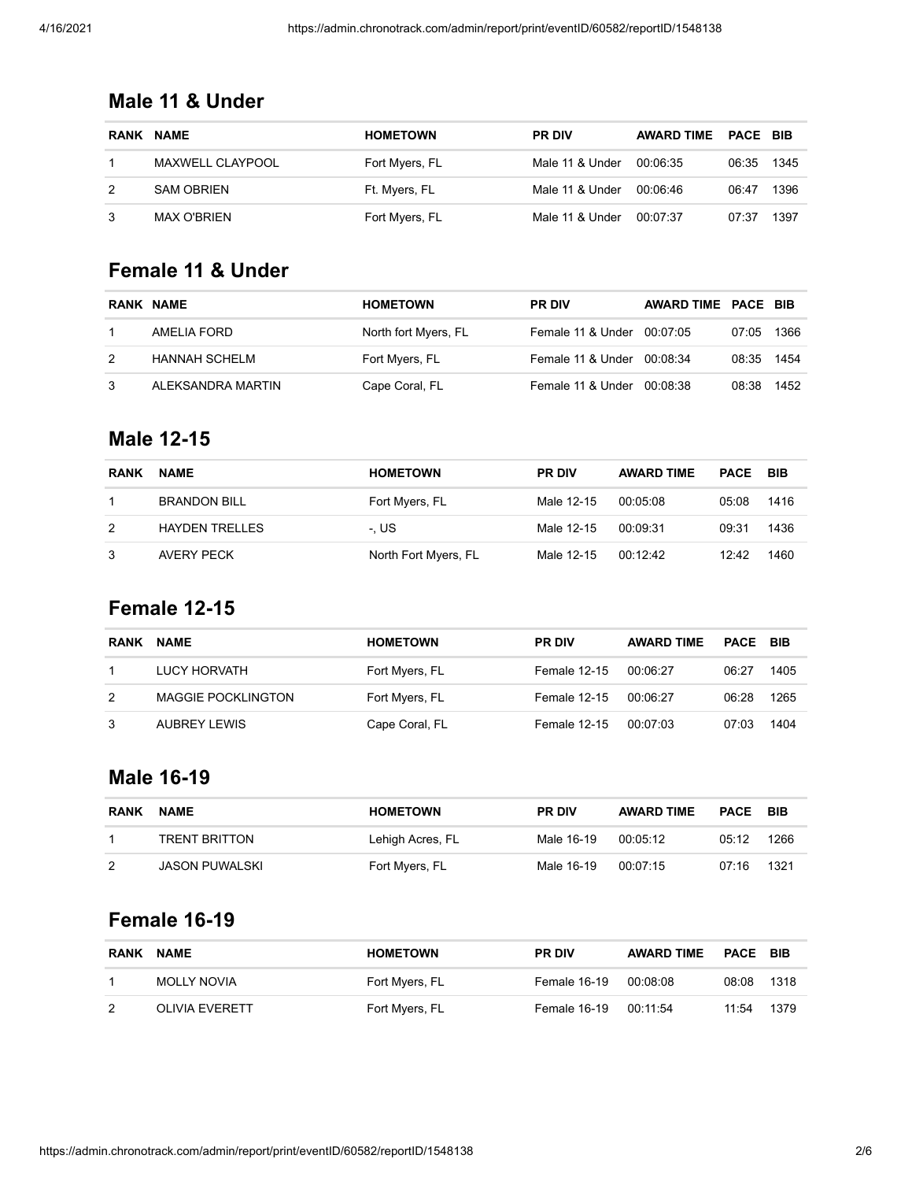## **Male 11 & Under**

| <b>RANK</b> | <b>NAME</b>             | <b>HOMETOWN</b> | <b>PR DIV</b>   | <b>AWARD TIME</b> | <b>PACE BIB</b> |      |
|-------------|-------------------------|-----------------|-----------------|-------------------|-----------------|------|
|             | <b>MAXWELL CLAYPOOL</b> | Fort Myers, FL  | Male 11 & Under | 00:06:35          | 06:35           | 1345 |
|             | <b>SAM OBRIEN</b>       | Ft. Myers, FL   | Male 11 & Under | 00:06:46          | 06:47           | 1396 |
|             | MAX O'BRIEN             | Fort Myers, FL  | Male 11 & Under | 00:07:37          | 07:37           | 1397 |

#### **Female 11 & Under**

|               | <b>RANK NAME</b>  | <b>HOMETOWN</b>      | <b>PR DIV</b>              | AWARD TIME PACE BIB |            |      |
|---------------|-------------------|----------------------|----------------------------|---------------------|------------|------|
|               | AMELIA FORD       | North fort Myers, FL | Female 11 & Under 00:07:05 |                     | 07:05      | 1366 |
| $\mathcal{P}$ | HANNAH SCHELM     | Fort Myers, FL       | Female 11 & Under 00:08:34 |                     | 08:35 1454 |      |
| 3             | ALEKSANDRA MARTIN | Cape Coral, FL       | Female 11 & Under          | 00:08:38            | 08:38      | 1452 |

#### **Male 12-15**

| <b>RANK</b> | <b>NAME</b>           | <b>HOMETOWN</b>      | <b>PR DIV</b> | <b>AWARD TIME</b> | <b>PACE</b> | <b>BIB</b> |
|-------------|-----------------------|----------------------|---------------|-------------------|-------------|------------|
|             | <b>BRANDON BILL</b>   | Fort Myers, FL       | Male 12-15    | 00:05:08          | 05:08       | 1416       |
| 2           | <b>HAYDEN TRELLES</b> | -. US                | Male 12-15    | 00:09:31          | 09:31       | 1436       |
| 3           | AVERY PECK            | North Fort Myers, FL | Male 12-15    | 001242            | 12:42       | 1460       |

## **Female 12-15**

| <b>RANK</b> | <b>NAME</b>               | <b>HOMETOWN</b> | <b>PR DIV</b> | <b>AWARD TIME</b> | <b>PACE BIB</b> |      |
|-------------|---------------------------|-----------------|---------------|-------------------|-----------------|------|
|             | LUCY HORVATH              | Fort Myers, FL  | Female 12-15  | 00:06:27          | 06:27           | 1405 |
| 2           | <b>MAGGIE POCKLINGTON</b> | Fort Myers, FL  | Female 12-15  | 00:06:27          | 06:28           | 1265 |
|             | AUBREY LEWIS              | Cape Coral, FL  | Female 12-15  | 00:07:03          | 07:03           | 1404 |

#### **Male 16-19**

| <b>RANK</b> | <b>NAME</b>           | <b>HOMETOWN</b>  | <b>PR DIV</b> | <b>AWARD TIME</b> | <b>PACE</b> | BIB  |
|-------------|-----------------------|------------------|---------------|-------------------|-------------|------|
|             | <b>TRENT BRITTON</b>  | Lehigh Acres, FL | Male 16-19    | 00:05:12          | 05:12       | 1266 |
| 2           | <b>JASON PUWALSKI</b> | Fort Myers, FL   | Male 16-19    | 00:07:15          | 07:16       | 1321 |

## **Female 16-19**

| <b>RANK</b>   | <b>NAME</b>        | <b>HOMETOWN</b> | <b>PR DIV</b>         | <b>AWARD TIME</b> | <b>PACE BIB</b> |        |
|---------------|--------------------|-----------------|-----------------------|-------------------|-----------------|--------|
|               | <b>MOLLY NOVIA</b> | Fort Myers, FL  | Female 16-19 00:08:08 |                   | 08:08           | - 1318 |
| $\mathcal{P}$ | OLIVIA EVERETT     | Fort Myers, FL  | Female 16-19 00:11:54 |                   | 11.54           | 1379   |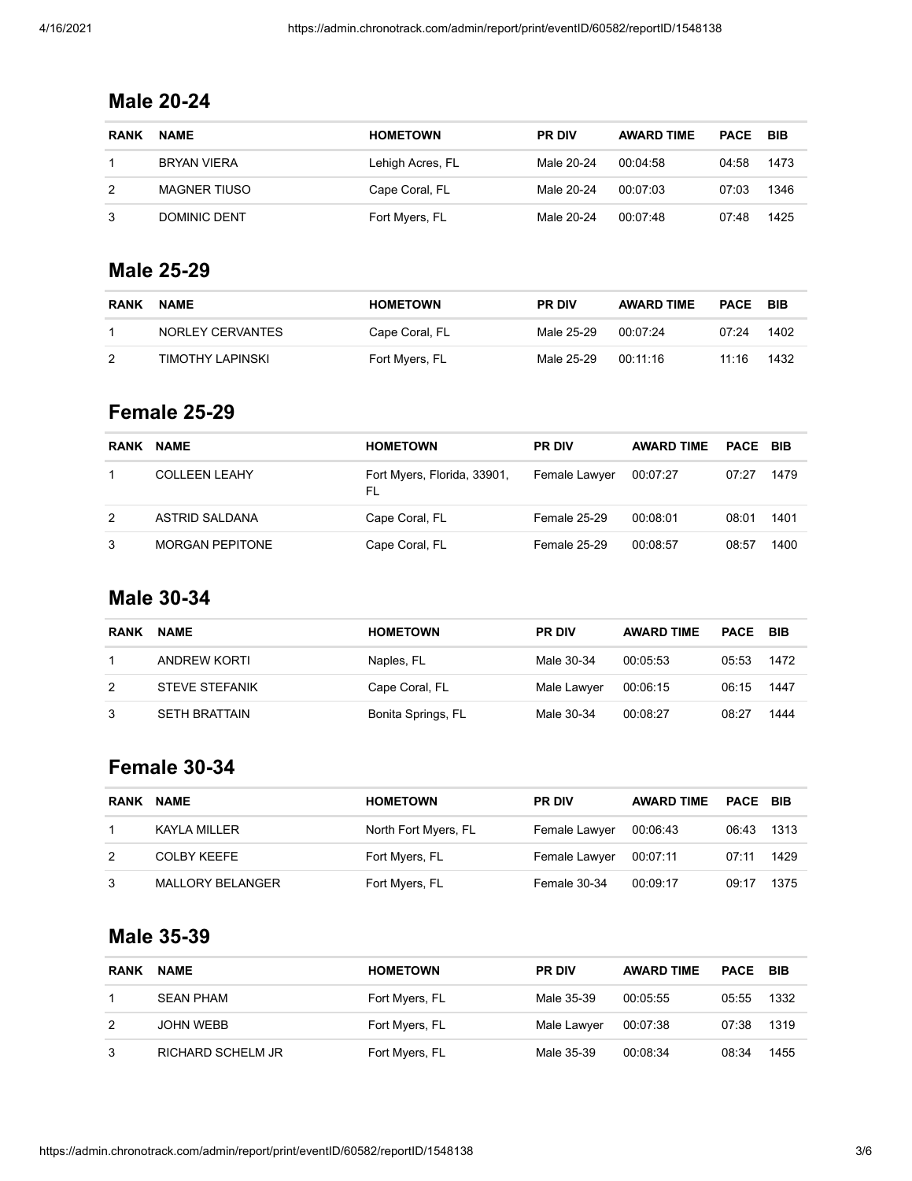## **Male 20-24**

| <b>RANK</b> | <b>NAME</b>         | <b>HOMETOWN</b>  | <b>PR DIV</b> | <b>AWARD TIME</b> | <b>PACE</b> | <b>BIB</b> |
|-------------|---------------------|------------------|---------------|-------------------|-------------|------------|
|             | BRYAN VIERA         | Lehigh Acres, FL | Male 20-24    | 00.04.58          | 04:58       | 1473       |
| 2           | <b>MAGNER TIUSO</b> | Cape Coral, FL   | Male 20-24    | 00.07.03          | 07:03       | 1346       |
| 3           | DOMINIC DENT        | Fort Myers, FL   | Male 20-24    | 00:07:48          | 07:48       | 1425       |

#### **Male 25-29**

| <b>RANK</b> | <b>NAME</b>      | <b>HOMETOWN</b> | <b>PR DIV</b> | <b>AWARD TIME</b> | PACE  | - BIB |
|-------------|------------------|-----------------|---------------|-------------------|-------|-------|
|             | NORLEY CERVANTES | Cape Coral, FL  | Male 25-29    | 00:07:24          | 07.24 | 1402  |
| 2           | TIMOTHY LAPINSKI | Fort Myers, FL  | Male 25-29    | 00 11 16          | 11.16 | 1432  |

#### **Female 25-29**

| <b>RANK</b> | <b>NAME</b>            | <b>HOMETOWN</b>                   | <b>PR DIV</b>       | <b>AWARD TIME</b> | <b>PACE BIB</b> |      |
|-------------|------------------------|-----------------------------------|---------------------|-------------------|-----------------|------|
|             | <b>COLLEEN LEAHY</b>   | Fort Myers, Florida, 33901,<br>FL | Female Lawyer       | 00:07:27          | 07:27           | 1479 |
| 2           | ASTRID SALDANA         | Cape Coral, FL                    | <b>Female 25-29</b> | 00:08:01          | 08:01           | 1401 |
| 3           | <b>MORGAN PEPITONE</b> | Cape Coral, FL                    | <b>Female 25-29</b> | 00:08:57          | 08:57           | 1400 |

#### **Male 30-34**

| <b>RANK</b> | <b>NAME</b>           | <b>HOMETOWN</b>    | <b>PR DIV</b> | <b>AWARD TIME</b> | <b>PACE BIB</b> |      |
|-------------|-----------------------|--------------------|---------------|-------------------|-----------------|------|
|             | ANDREW KORTI          | Naples, FL         | Male 30-34    | 00:05:53          | 05:53           | 1472 |
| 2           | <b>STEVE STEFANIK</b> | Cape Coral, FL     | Male Lawyer   | 00:06:15          | 06:15           | 1447 |
|             | SETH BRATTAIN         | Bonita Springs, FL | Male 30-34    | 00:08:27          | 08:27           | 1444 |

#### **Female 30-34**

| <b>RANK</b> | <b>NAME</b>             | <b>HOMETOWN</b>      | <b>PR DIV</b> | <b>AWARD TIME</b> | <b>PACE BIB</b> |        |
|-------------|-------------------------|----------------------|---------------|-------------------|-----------------|--------|
|             | KAYLA MILLER            | North Fort Myers, FL | Female Lawyer | 00.06.43          | 06:43           | - 1313 |
| 2           | <b>COLBY KEEFE</b>      | Fort Myers, FL       | Female Lawyer | 00:07:11          | 07:11           | 1429   |
| 3           | <b>MALLORY BELANGER</b> | Fort Myers, FL       | Female 30-34  | 00:09:17          | 09:17           | 1375   |

#### **Male 35-39**

| <b>RANK</b> | <b>NAME</b>              | <b>HOMETOWN</b> | <b>PR DIV</b> | <b>AWARD TIME</b> | <b>PACE</b> | BIB  |
|-------------|--------------------------|-----------------|---------------|-------------------|-------------|------|
|             | <b>SEAN PHAM</b>         | Fort Myers, FL  | Male 35-39    | 00:05:55          | 05:55       | 1332 |
| 2           | JOHN WEBB                | Fort Myers, FL  | Male Lawyer   | 00:07:38          | 07:38       | 1319 |
| 3           | <b>RICHARD SCHELM JR</b> | Fort Myers, FL  | Male 35-39    | 00:08:34          | 08:34       | 1455 |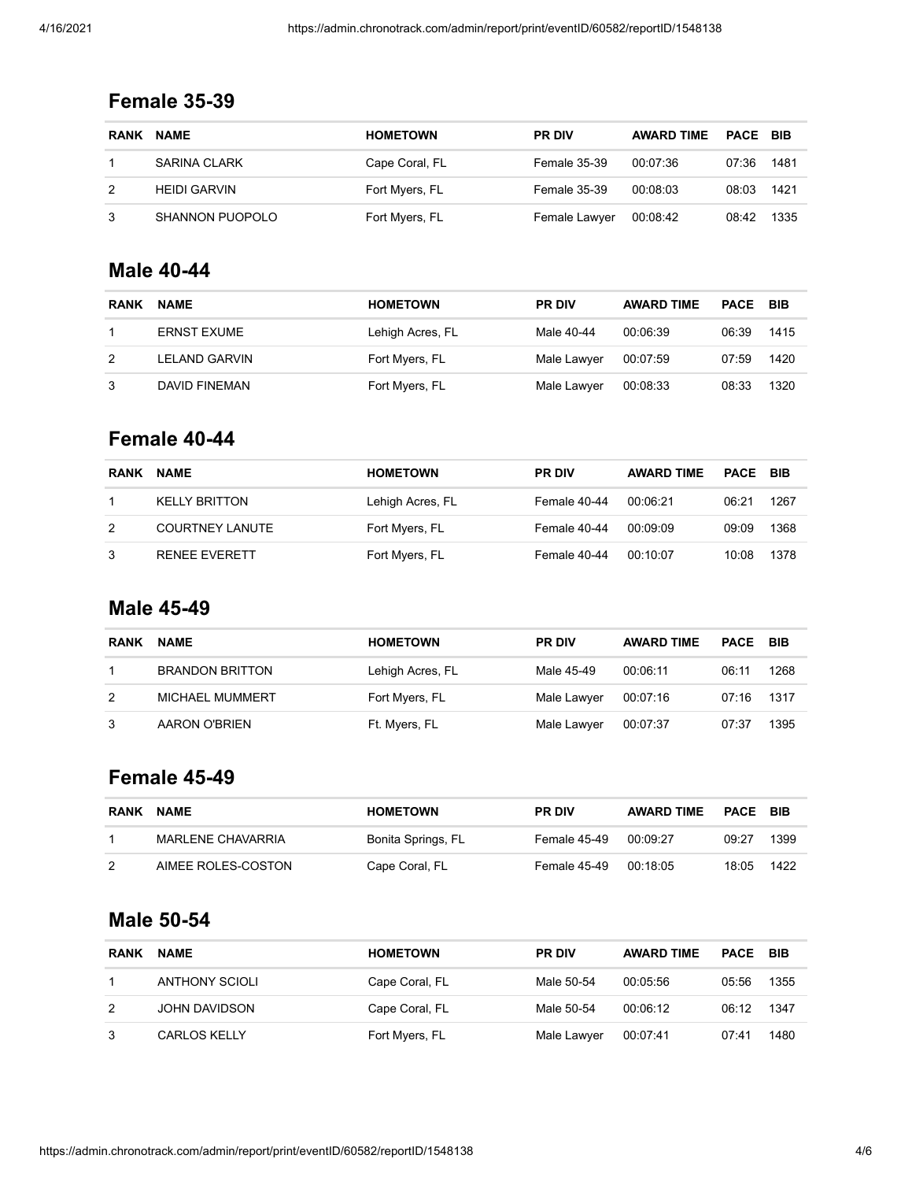## **Female 35-39**

| <b>RANK</b> | <b>NAME</b>            | <b>HOMETOWN</b> | <b>PR DIV</b>       | <b>AWARD TIME</b> | <b>PACE BIB</b> |      |
|-------------|------------------------|-----------------|---------------------|-------------------|-----------------|------|
|             | SARINA CLARK           | Cape Coral, FL  | <b>Female 35-39</b> | 00:07:36          | 07:36           | 1481 |
|             | <b>HEIDI GARVIN</b>    | Fort Myers, FL  | Female 35-39        | 00:08:03          | 08:03           | 1421 |
|             | <b>SHANNON PUOPOLO</b> | Fort Myers, FL  | Female Lawyer       | 00:08:42          | 08:42           | 1335 |

#### **Male 40-44**

| <b>RANK</b> | <b>NAME</b>          | <b>HOMETOWN</b>  | <b>PR DIV</b> | <b>AWARD TIME</b> | <b>PACE</b> | BIB  |
|-------------|----------------------|------------------|---------------|-------------------|-------------|------|
|             | <b>ERNST EXUME</b>   | Lehigh Acres, FL | Male 40-44    | 00:06:39          | 06:39       | 1415 |
| 2           | LELAND GARVIN        | Fort Myers, FL   | Male Lawyer   | 00:07:59          | 07:59       | 1420 |
| 3           | <b>DAVID FINEMAN</b> | Fort Myers, FL   | Male Lawyer   | 00:08:33          | 08:33       | 1320 |

## **Female 40-44**

| <b>RANK</b> | <b>NAME</b>            | <b>HOMETOWN</b>  | <b>PR DIV</b> | <b>AWARD TIME</b> | <b>PACE BIB</b> |      |
|-------------|------------------------|------------------|---------------|-------------------|-----------------|------|
|             | <b>KELLY BRITTON</b>   | Lehigh Acres, FL | Female 40-44  | 00:06:21          | 06:21           | 1267 |
| 2           | <b>COURTNEY LANUTE</b> | Fort Myers, FL   | Female 40-44  | 00:09:09          | 09:09           | 1368 |
| 3           | <b>RENEE EVERETT</b>   | Fort Myers, FL   | Female 40-44  | 00:10:07          | 10:08           | 1378 |

#### **Male 45-49**

| <b>RANK</b> | <b>NAME</b>            | <b>HOMETOWN</b>  | <b>PR DIV</b> | <b>AWARD TIME</b> | <b>PACE</b> | <b>BIB</b> |
|-------------|------------------------|------------------|---------------|-------------------|-------------|------------|
|             | <b>BRANDON BRITTON</b> | Lehigh Acres, FL | Male 45-49    | 00:06:11          | 06:11       | 1268       |
| 2           | <b>MICHAEL MUMMERT</b> | Fort Myers, FL   | Male Lawyer   | 00:07:16          | 07:16       | 1317       |
|             | AARON O'BRIEN          | Ft. Myers, FL    | Male Lawyer   | 00:07:37          | 07:37       | 1395       |

## **Female 45-49**

| <b>RANK</b> | <b>NAME</b>        | <b>HOMETOWN</b>    | <b>PR DIV</b> | <b>AWARD TIME</b> | PACE  | <b>BIB</b> |
|-------------|--------------------|--------------------|---------------|-------------------|-------|------------|
|             | MARLENE CHAVARRIA  | Bonita Springs, FL | Female 45-49  | 00:09:27          | 09:27 | 1399       |
| 2           | AIMEE ROLES-COSTON | Cape Coral, FL     | Female 45-49  | 00:18:05          | 18:05 | 1422       |

#### **Male 50-54**

| <b>RANK</b> | <b>NAME</b>           | <b>HOMETOWN</b> | <b>PR DIV</b> | <b>AWARD TIME</b> | <b>PACE</b> | BIB  |
|-------------|-----------------------|-----------------|---------------|-------------------|-------------|------|
|             | <b>ANTHONY SCIOLI</b> | Cape Coral, FL  | Male 50-54    | 00:05:56          | 05:56       | 1355 |
| 2           | JOHN DAVIDSON         | Cape Coral, FL  | Male 50-54    | 00:06:12          | 06:12       | 1347 |
|             | <b>CARLOS KELLY</b>   | Fort Myers, FL  | Male Lawyer   | 00:07:41          | 07:41       | 1480 |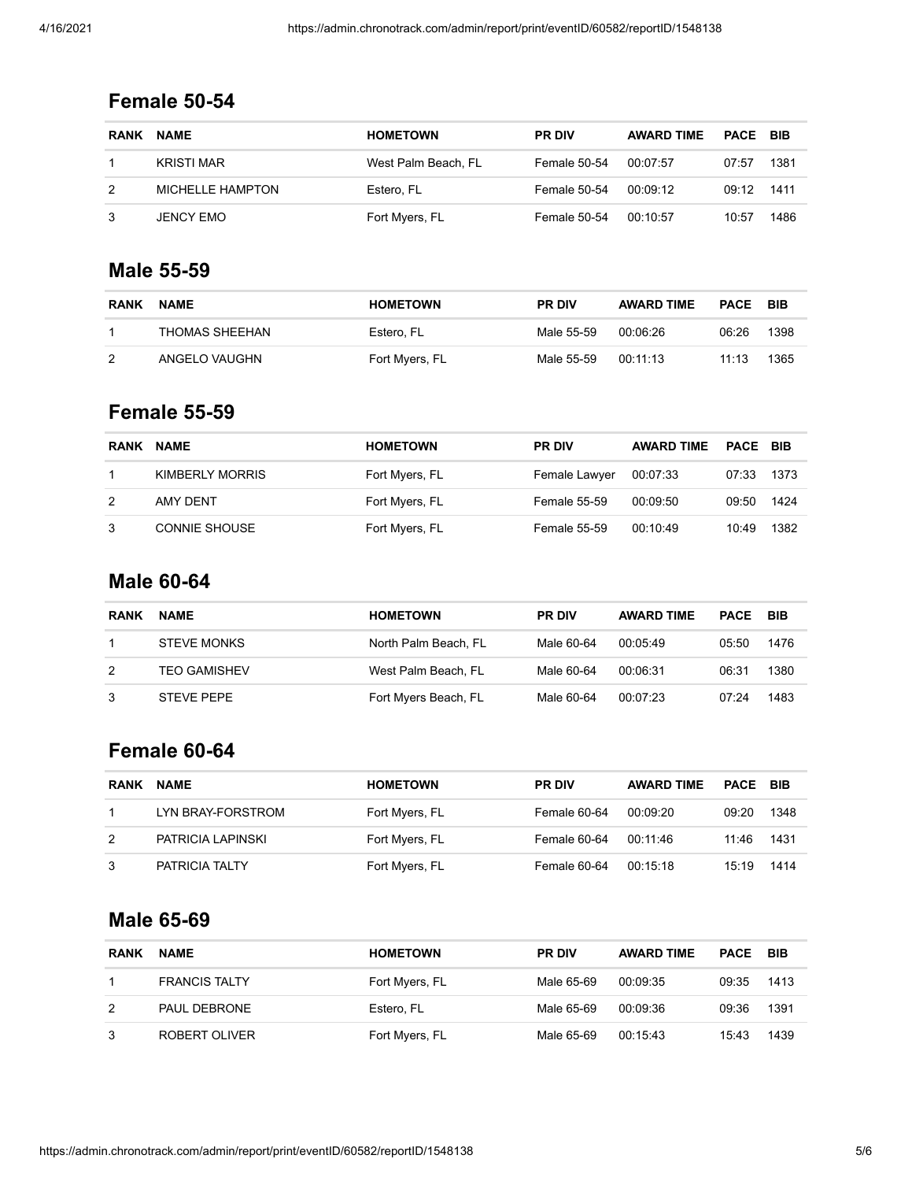## **Female 50-54**

| <b>RANK</b> | <b>NAME</b>       | <b>HOMETOWN</b>     | <b>PR DIV</b> | <b>AWARD TIME</b> | <b>PACE BIB</b> |      |
|-------------|-------------------|---------------------|---------------|-------------------|-----------------|------|
|             | <b>KRISTI MAR</b> | West Palm Beach. FL | Female 50-54  | 00:07:57          | 07:57           | 1381 |
|             | MICHELLE HAMPTON  | Estero, FL          | Female 50-54  | 00:09:12          | 09:12           | 1411 |
|             | JENCY EMO         | Fort Myers, FL      | Female 50-54  | 00:10:57          | 10:57           | 1486 |

#### **Male 55-59**

| <b>RANK</b> | <b>NAME</b>    | <b>HOMETOWN</b> | <b>PR DIV</b> | <b>AWARD TIME</b> | <b>PACE</b>   | <b>BIB</b> |
|-------------|----------------|-----------------|---------------|-------------------|---------------|------------|
|             | THOMAS SHEEHAN | Estero. FL      | Male 55-59    | 00 06 26          | 06:26         | 1398       |
| 2           | ANGELO VAUGHN  | Fort Myers, FL  | Male 55-59    | 00 11 13          | $11 \cdot 13$ | 1365       |

#### **Female 55-59**

| <b>RANK</b> | <b>NAME</b>          | <b>HOMETOWN</b> | <b>PR DIV</b>       | <b>AWARD TIME</b> | <b>PACE BIB</b> |      |
|-------------|----------------------|-----------------|---------------------|-------------------|-----------------|------|
|             | KIMBERLY MORRIS      | Fort Myers, FL  | Female Lawyer       | 00:07:33          | 07:33           | 1373 |
| 2           | AMY DENT             | Fort Myers, FL  | <b>Female 55-59</b> | 00:09:50          | 09:50           | 1424 |
| 3           | <b>CONNIE SHOUSE</b> | Fort Myers, FL  | Female 55-59        | 00:10:49          | 10:49           | 1382 |

## **Male 60-64**

| <b>RANK</b> | <b>NAME</b>         | <b>HOMETOWN</b>      | <b>PR DIV</b> | <b>AWARD TIME</b> | PACE  | <b>BIB</b> |
|-------------|---------------------|----------------------|---------------|-------------------|-------|------------|
|             | <b>STEVE MONKS</b>  | North Palm Beach, FL | Male 60-64    | 00,05,49          | 05:50 | 1476       |
| 2           | <b>TEO GAMISHEV</b> | West Palm Beach, FL  | Male 60-64    | 00:06:31          | 06:31 | 1380       |
|             | <b>STEVE PEPE</b>   | Fort Myers Beach, FL | Male 60-64    | 00:07:23          | 07:24 | 1483       |

## **Female 60-64**

| <b>RANK</b> | <b>NAME</b>       | <b>HOMETOWN</b> | <b>PR DIV</b> | <b>AWARD TIME</b> | PACE BIB |      |
|-------------|-------------------|-----------------|---------------|-------------------|----------|------|
|             | LYN BRAY-FORSTROM | Fort Myers, FL  | Female 60-64  | 00:09:20          | 09:20    | 1348 |
| 2           | PATRICIA LAPINSKI | Fort Myers, FL  | Female 60-64  | 00:11:46          | 11:46    | 1431 |
| 3           | PATRICIA TALTY    | Fort Myers, FL  | Female 60-64  | 00:15:18          | 15:19    | 1414 |

#### **Male 65-69**

| <b>RANK</b> | <b>NAME</b>          | <b>HOMETOWN</b> | <b>PR DIV</b> | <b>AWARD TIME</b> | PACE  | <b>BIB</b> |
|-------------|----------------------|-----------------|---------------|-------------------|-------|------------|
|             | <b>FRANCIS TALTY</b> | Fort Myers, FL  | Male 65-69    | 00:09:35          | 09:35 | 1413       |
| 2           | PAUL DEBRONE         | Estero. FL      | Male 65-69    | 00:09:36          | 09:36 | 1391       |
|             | ROBERT OLIVER        | Fort Myers, FL  | Male 65-69    | 00:15:43          | 15:43 | 1439       |